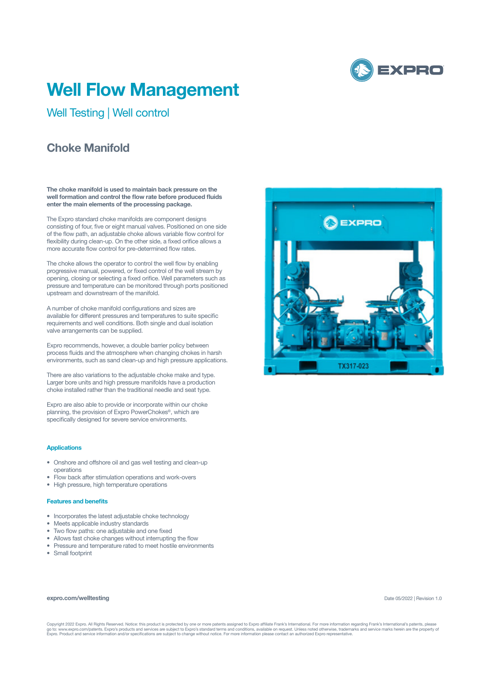

# **Well Flow Management**

Well Testing | Well control

## **Choke Manifold**

**The choke manifold is used to maintain back pressure on the well formation and control the flow rate before produced fluids enter the main elements of the processing package.** 

The Expro standard choke manifolds are component designs consisting of four, five or eight manual valves. Positioned on one side of the flow path, an adjustable choke allows variable flow control for flexibility during clean-up. On the other side, a fixed orifice allows a more accurate flow control for pre-determined flow rates.

The choke allows the operator to control the well flow by enabling progressive manual, powered, or fixed control of the well stream by opening, closing or selecting a fixed orifice. Well parameters such as pressure and temperature can be monitored through ports positioned upstream and downstream of the manifold.

A number of choke manifold configurations and sizes are available for different pressures and temperatures to suite specific requirements and well conditions. Both single and dual isolation valve arrangements can be supplied.

Expro recommends, however, a double barrier policy between process fluids and the atmosphere when changing chokes in harsh environments, such as sand clean-up and high pressure applications.

There are also variations to the adjustable choke make and type. Larger bore units and high pressure manifolds have a production choke installed rather than the traditional needle and seat type.

Expro are also able to provide or incorporate within our choke planning, the provision of Expro PowerChokes®, which are specifically designed for severe service environments.

#### **Applications**

- Onshore and offshore oil and gas well testing and clean-up operations
- Flow back after stimulation operations and work-overs
- High pressure, high temperature operations

#### **Features and benefits**

- Incorporates the latest adjustable choke technology
- Meets applicable industry standards
- Two flow paths: one adjustable and one fixed
- Allows fast choke changes without interrupting the flow
- Pressure and temperature rated to meet hostile environments
- Small footprint

#### **expro.com/welltesting**

Date 05/2022 | Revision 1.0

Copyright 2022 Expro. All Rights Reserved. Notice: this product is protected by one or more patents assigned to Expro affiliate Frank's International. For more information regarding Frank's International's patents, please<br>